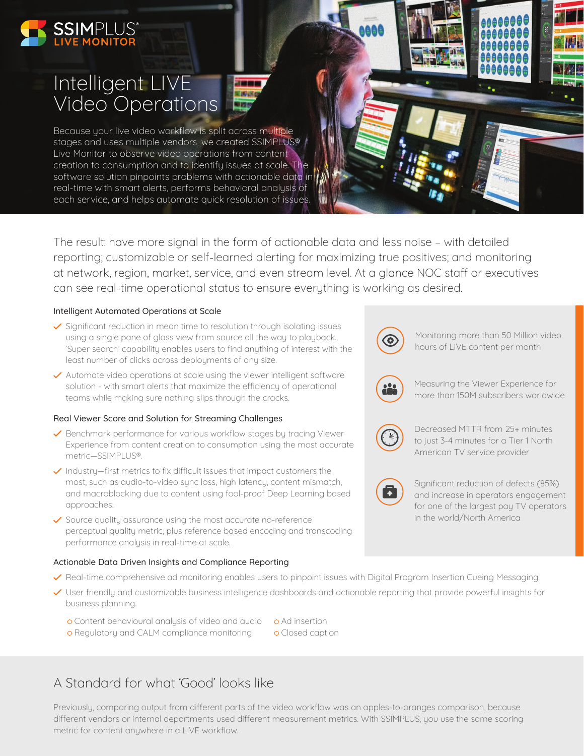# Intelligent LIVE Video Operations

**SSIM**PLUS<sup>®</sup><br>LIVE MONITOR

Because your live video workflow is split across multiple stages and uses multiple vendors, we created SSIMPLUS® Live Monitor to observe video operations from content creation to consumption and to identify issues at scale. The software solution pinpoints problems with actionable data in real-time with smart alerts, performs behavioral analysis of each service, and helps automate quick resolution of issues.

**EDUCK Marzin** 

The result: have more signal in the form of actionable data and less noise – with detailed reporting; customizable or self-learned alerting for maximizing true positives; and monitoring at network, region, market, service, and even stream level. At a glance NOC staff or executives can see real-time operational status to ensure everything is working as desired.

#### Intelligent Automated Operations at Scale

- $\checkmark$  Significant reduction in mean time to resolution through isolating issues using a single pane of glass view from source all the way to playback. 'Super search' capability enables users to find anything of interest with the least number of clicks across deployments of any size.
- $\checkmark$  Automate video operations at scale using the viewer intelligent software solution - with smart alerts that maximize the efficiency of operational teams while making sure nothing slips through the cracks.

#### Real Viewer Score and Solution for Streaming Challenges

- $\checkmark$  Benchmark performance for various workflow stages by tracing Viewer Experience from content creation to consumption using the most accurate metric—SSIMPLUS®.
- $\checkmark$  Industry—first metrics to fix difficult issues that impact customers the most, such as audio-to-video sync loss, high latency, content mismatch, and macroblocking due to content using fool-proof Deep Learning based approaches.
- $\checkmark$  Source quality assurance using the most accurate no-reference perceptual quality metric, plus reference based encoding and transcoding performance analysis in real-time at scale.

#### Actionable Data Driven Insights and Compliance Reporting

- Real-time comprehensive ad monitoring enables users to pinpoint issues with Digital Program Insertion Cueing Messaging.
- User friendly and customizable business intelligence dashboards and actionable reporting that provide powerful insights for business planning.
	- Content behavioural analysis of video and audio o Ad insertion
		-
	- o Regulatory and CALM compliance monitoring
- o Closed caption

### A Standard for what 'Good' looks like

Previously, comparing output from different parts of the video workflow was an apples-to-oranges comparison, because different vendors or internal departments used different measurement metrics. With SSIMPLUS, you use the same scoring metric for content anywhere in a LIVE workflow.



Monitoring more than 50 Million video hours of LIVE content per month



Measuring the Viewer Experience for more than 150M subscribers worldwide



Decreased MTTR from 25+ minutes to just 3-4 minutes for a Tier 1 North American TV service provider



Significant reduction of defects (85%) and increase in operators engagement for one of the largest pay TV operators in the world/North America